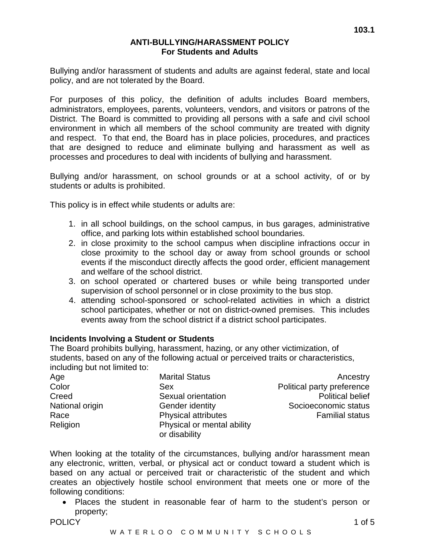## **ANTI-BULLYING/HARASSMENT POLICY For Students and Adults**

Bullying and/or harassment of students and adults are against federal, state and local policy, and are not tolerated by the Board.

For purposes of this policy, the definition of adults includes Board members, administrators, employees, parents, volunteers, vendors, and visitors or patrons of the District. The Board is committed to providing all persons with a safe and civil school environment in which all members of the school community are treated with dignity and respect. To that end, the Board has in place policies, procedures, and practices that are designed to reduce and eliminate bullying and harassment as well as processes and procedures to deal with incidents of bullying and harassment.

Bullying and/or harassment, on school grounds or at a school activity, of or by students or adults is prohibited.

This policy is in effect while students or adults are:

- 1. in all school buildings, on the school campus, in bus garages, administrative office, and parking lots within established school boundaries.
- 2. in close proximity to the school campus when discipline infractions occur in close proximity to the school day or away from school grounds or school events if the misconduct directly affects the good order, efficient management and welfare of the school district.
- 3. on school operated or chartered buses or while being transported under supervision of school personnel or in close proximity to the bus stop.
- 4. attending school-sponsored or school-related activities in which a district school participates, whether or not on district-owned premises. This includes events away from the school district if a district school participates.

# **Incidents Involving a Student or Students**

The Board prohibits bullying, harassment, hazing, or any other victimization, of students, based on any of the following actual or perceived traits or characteristics, including but not limited to:

| Age             | <b>Marital Status</b>      | Ancestry                   |
|-----------------|----------------------------|----------------------------|
| Color           | <b>Sex</b>                 | Political party preference |
| Creed           | Sexual orientation         | <b>Political belief</b>    |
| National origin | Gender identity            | Socioeconomic status       |
| Race            | <b>Physical attributes</b> | <b>Familial status</b>     |
| Religion        | Physical or mental ability |                            |
|                 | or disability              |                            |

When looking at the totality of the circumstances, bullying and/or harassment mean any electronic, written, verbal, or physical act or conduct toward a student which is based on any actual or perceived trait or characteristic of the student and which creates an objectively hostile school environment that meets one or more of the following conditions:

• Places the student in reasonable fear of harm to the student's person or property;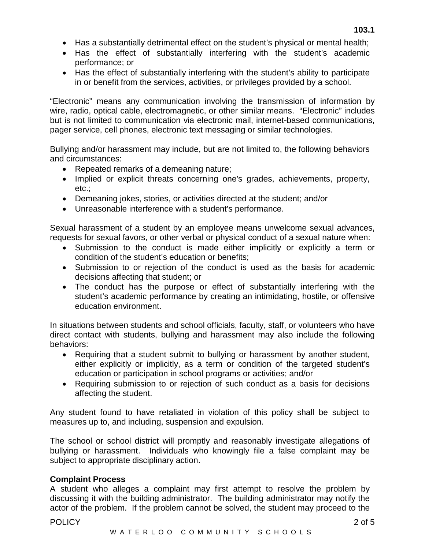**103.1** 

- Has the effect of substantially interfering with the student's academic performance; or
- Has the effect of substantially interfering with the student's ability to participate in or benefit from the services, activities, or privileges provided by a school.

"Electronic" means any communication involving the transmission of information by wire, radio, optical cable, electromagnetic, or other similar means. "Electronic" includes but is not limited to communication via electronic mail, internet-based communications, pager service, cell phones, electronic text messaging or similar technologies.

Bullying and/or harassment may include, but are not limited to, the following behaviors and circumstances:

- Repeated remarks of a demeaning nature;
- Implied or explicit threats concerning one's grades, achievements, property, etc.;
- Demeaning jokes, stories, or activities directed at the student; and/or
- Unreasonable interference with a student's performance.

Sexual harassment of a student by an employee means unwelcome sexual advances, requests for sexual favors, or other verbal or physical conduct of a sexual nature when:

- Submission to the conduct is made either implicitly or explicitly a term or condition of the student's education or benefits;
- Submission to or rejection of the conduct is used as the basis for academic decisions affecting that student; or
- The conduct has the purpose or effect of substantially interfering with the student's academic performance by creating an intimidating, hostile, or offensive education environment.

In situations between students and school officials, faculty, staff, or volunteers who have direct contact with students, bullying and harassment may also include the following behaviors:

- Requiring that a student submit to bullying or harassment by another student, either explicitly or implicitly, as a term or condition of the targeted student's education or participation in school programs or activities; and/or
- Requiring submission to or rejection of such conduct as a basis for decisions affecting the student.

Any student found to have retaliated in violation of this policy shall be subject to measures up to, and including, suspension and expulsion.

The school or school district will promptly and reasonably investigate allegations of bullying or harassment. Individuals who knowingly file a false complaint may be subject to appropriate disciplinary action.

# **Complaint Process**

A student who alleges a complaint may first attempt to resolve the problem by discussing it with the building administrator. The building administrator may notify the actor of the problem. If the problem cannot be solved, the student may proceed to the

## POLICY 2 of 5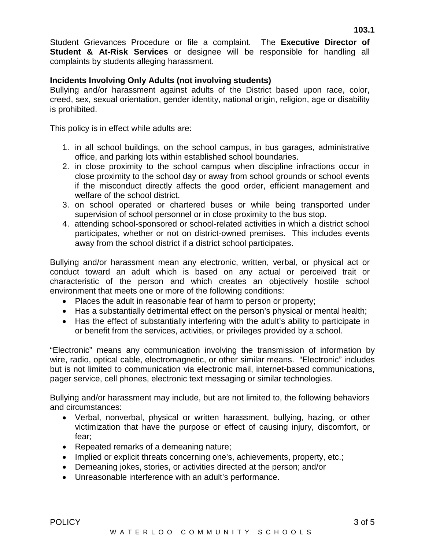Student Grievances Procedure or file a complaint. The **Executive Director of Student & At-Risk Services** or designee will be responsible for handling all complaints by students alleging harassment.

## **Incidents Involving Only Adults (not involving students)**

Bullying and/or harassment against adults of the District based upon race, color, creed, sex, sexual orientation, gender identity, national origin, religion, age or disability is prohibited.

This policy is in effect while adults are:

- 1. in all school buildings, on the school campus, in bus garages, administrative office, and parking lots within established school boundaries.
- 2. in close proximity to the school campus when discipline infractions occur in close proximity to the school day or away from school grounds or school events if the misconduct directly affects the good order, efficient management and welfare of the school district.
- 3. on school operated or chartered buses or while being transported under supervision of school personnel or in close proximity to the bus stop.
- 4. attending school-sponsored or school-related activities in which a district school participates, whether or not on district-owned premises. This includes events away from the school district if a district school participates.

Bullying and/or harassment mean any electronic, written, verbal, or physical act or conduct toward an adult which is based on any actual or perceived trait or characteristic of the person and which creates an objectively hostile school environment that meets one or more of the following conditions:

- Places the adult in reasonable fear of harm to person or property;
- Has a substantially detrimental effect on the person's physical or mental health;
- Has the effect of substantially interfering with the adult's ability to participate in or benefit from the services, activities, or privileges provided by a school.

"Electronic" means any communication involving the transmission of information by wire, radio, optical cable, electromagnetic, or other similar means. "Electronic" includes but is not limited to communication via electronic mail, internet-based communications, pager service, cell phones, electronic text messaging or similar technologies.

Bullying and/or harassment may include, but are not limited to, the following behaviors and circumstances:

- Verbal, nonverbal, physical or written harassment, bullying, hazing, or other victimization that have the purpose or effect of causing injury, discomfort, or fear;
- Repeated remarks of a demeaning nature;
- Implied or explicit threats concerning one's, achievements, property, etc.;
- Demeaning jokes, stories, or activities directed at the person; and/or
- Unreasonable interference with an adult's performance.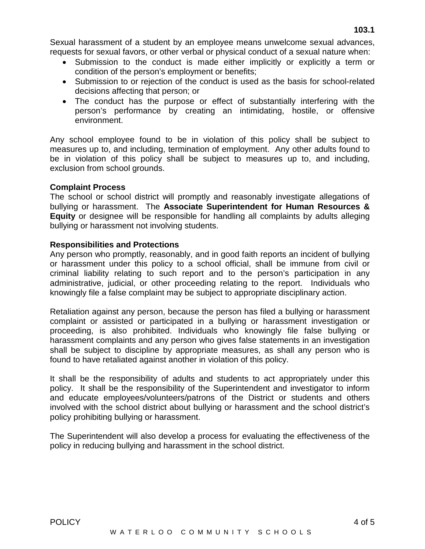Sexual harassment of a student by an employee means unwelcome sexual advances, requests for sexual favors, or other verbal or physical conduct of a sexual nature when:

- Submission to the conduct is made either implicitly or explicitly a term or condition of the person's employment or benefits;
- Submission to or rejection of the conduct is used as the basis for school-related decisions affecting that person; or
- The conduct has the purpose or effect of substantially interfering with the person's performance by creating an intimidating, hostile, or offensive environment.

Any school employee found to be in violation of this policy shall be subject to measures up to, and including, termination of employment. Any other adults found to be in violation of this policy shall be subject to measures up to, and including, exclusion from school grounds.

# **Complaint Process**

The school or school district will promptly and reasonably investigate allegations of bullying or harassment. The **Associate Superintendent for Human Resources & Equity** or designee will be responsible for handling all complaints by adults alleging bullying or harassment not involving students.

# **Responsibilities and Protections**

Any person who promptly, reasonably, and in good faith reports an incident of bullying or harassment under this policy to a school official, shall be immune from civil or criminal liability relating to such report and to the person's participation in any administrative, judicial, or other proceeding relating to the report. Individuals who knowingly file a false complaint may be subject to appropriate disciplinary action.

Retaliation against any person, because the person has filed a bullying or harassment complaint or assisted or participated in a bullying or harassment investigation or proceeding, is also prohibited. Individuals who knowingly file false bullying or harassment complaints and any person who gives false statements in an investigation shall be subject to discipline by appropriate measures, as shall any person who is found to have retaliated against another in violation of this policy.

It shall be the responsibility of adults and students to act appropriately under this policy. It shall be the responsibility of the Superintendent and investigator to inform and educate employees/volunteers/patrons of the District or students and others involved with the school district about bullying or harassment and the school district's policy prohibiting bullying or harassment.

The Superintendent will also develop a process for evaluating the effectiveness of the policy in reducing bullying and harassment in the school district.